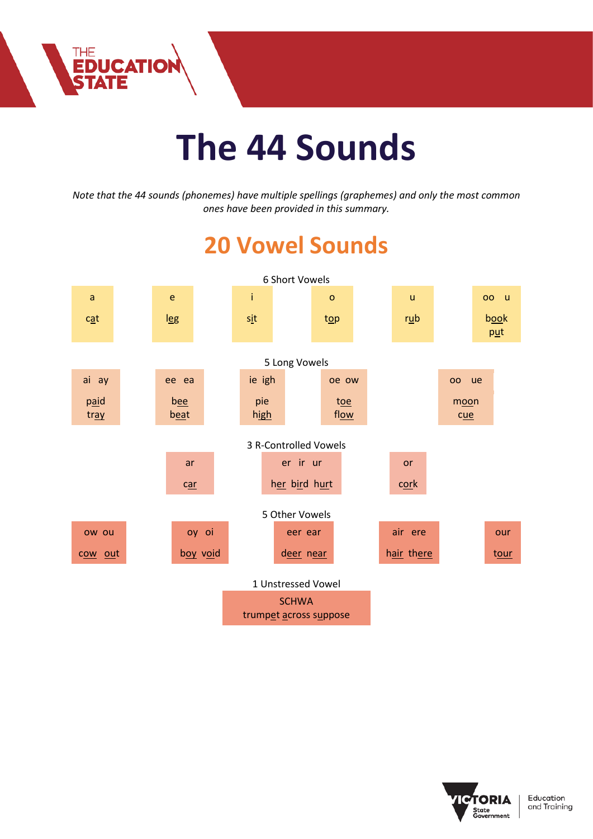

THE<br>**EDUCATION**<br>**STATE** 

*Note that the 44 sounds (phonemes) have multiple spellings (graphemes) and only the most common ones have been provided in this summary.*

## **20 Vowel Sounds**